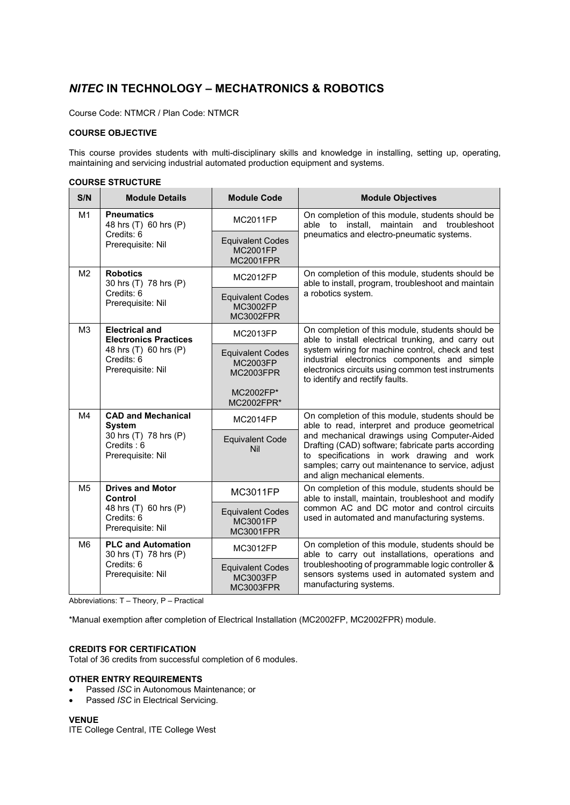# *NITEC* **IN TECHNOLOGY – MECHATRONICS & ROBOTICS**

Course Code: NTMCR / Plan Code: NTMCR

# **COURSE OBJECTIVE**

This course provides students with multi-disciplinary skills and knowledge in installing, setting up, operating, maintaining and servicing industrial automated production equipment and systems.

## **COURSE STRUCTURE**

| S/N            | <b>Module Details</b>                                                                                             | <b>Module Code</b>                                             | <b>Module Objectives</b>                                                                                                                                                                                                                                                                                                                       |
|----------------|-------------------------------------------------------------------------------------------------------------------|----------------------------------------------------------------|------------------------------------------------------------------------------------------------------------------------------------------------------------------------------------------------------------------------------------------------------------------------------------------------------------------------------------------------|
| M1             | <b>Pneumatics</b><br>48 hrs (T) 60 hrs (P)<br>Credits: 6<br>Prerequisite: Nil                                     | <b>MC2011FP</b>                                                | On completion of this module, students should be<br>able to install.<br>maintain and<br>troubleshoot<br>pneumatics and electro-pneumatic systems.                                                                                                                                                                                              |
|                |                                                                                                                   | <b>Equivalent Codes</b><br><b>MC2001FP</b><br><b>MC2001FPR</b> |                                                                                                                                                                                                                                                                                                                                                |
| M <sub>2</sub> | <b>Robotics</b><br>30 hrs (T) 78 hrs (P)<br>Credits: 6<br>Prerequisite: Nil                                       | <b>MC2012FP</b>                                                | On completion of this module, students should be<br>able to install, program, troubleshoot and maintain<br>a robotics system.                                                                                                                                                                                                                  |
|                |                                                                                                                   | <b>Equivalent Codes</b><br>MC3002FP<br><b>MC3002FPR</b>        |                                                                                                                                                                                                                                                                                                                                                |
| M3             | <b>Electrical and</b><br><b>Electronics Practices</b><br>48 hrs (T) 60 hrs (P)<br>Credits: 6<br>Prerequisite: Nil | <b>MC2013FP</b>                                                | On completion of this module, students should be<br>able to install electrical trunking, and carry out<br>system wiring for machine control, check and test<br>industrial electronics components and simple<br>electronics circuits using common test instruments<br>to identify and rectify faults.                                           |
|                |                                                                                                                   | <b>Equivalent Codes</b><br><b>MC2003FP</b><br><b>MC2003FPR</b> |                                                                                                                                                                                                                                                                                                                                                |
|                |                                                                                                                   | MC2002FP*<br>MC2002FPR*                                        |                                                                                                                                                                                                                                                                                                                                                |
| M4             | <b>CAD and Mechanical</b><br><b>System</b><br>30 hrs (T) 78 hrs (P)<br>$C$ redits: $6$<br>Prerequisite: Nil       | <b>MC2014FP</b>                                                | On completion of this module, students should be<br>able to read, interpret and produce geometrical<br>and mechanical drawings using Computer-Aided<br>Drafting (CAD) software; fabricate parts according<br>to specifications in work drawing and work<br>samples; carry out maintenance to service, adjust<br>and align mechanical elements. |
|                |                                                                                                                   | <b>Equivalent Code</b><br>Nil                                  |                                                                                                                                                                                                                                                                                                                                                |
| M <sub>5</sub> | <b>Drives and Motor</b><br>Control<br>48 hrs (T) 60 hrs (P)<br>Credits: 6<br>Prerequisite: Nil                    | <b>MC3011FP</b>                                                | On completion of this module, students should be<br>able to install, maintain, troubleshoot and modify<br>common AC and DC motor and control circuits<br>used in automated and manufacturing systems.                                                                                                                                          |
|                |                                                                                                                   | <b>Equivalent Codes</b><br>MC3001FP<br><b>MC3001FPR</b>        |                                                                                                                                                                                                                                                                                                                                                |
| M6             | <b>PLC and Automation</b><br>30 hrs (T) 78 hrs (P)<br>Credits: 6<br>Prerequisite: Nil                             | MC3012FP                                                       | On completion of this module, students should be<br>able to carry out installations, operations and<br>troubleshooting of programmable logic controller &<br>sensors systems used in automated system and<br>manufacturing systems.                                                                                                            |
|                |                                                                                                                   | <b>Equivalent Codes</b><br>MC3003FP<br><b>MC3003FPR</b>        |                                                                                                                                                                                                                                                                                                                                                |

Abbreviations: T – Theory, P – Practical

\*Manual exemption after completion of Electrical Installation (MC2002FP, MC2002FPR) module.

#### **CREDITS FOR CERTIFICATION**

Total of 36 credits from successful completion of 6 modules.

### **OTHER ENTRY REQUIREMENTS**

- Passed *ISC* in Autonomous Maintenance; or
- Passed *ISC* in Electrical Servicing.

#### **VENUE**

ITE College Central, ITE College West